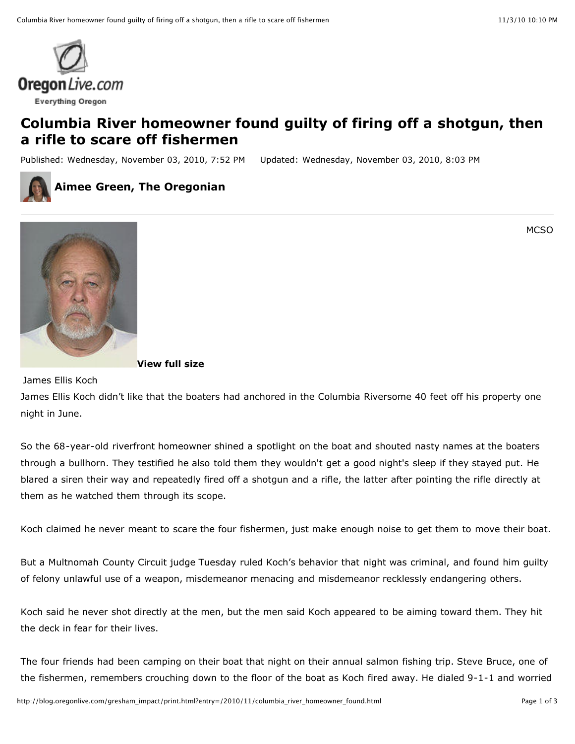

## **Columbia River homeowner found guilty of firing off a shotgun, then a rifle to scare off fishermen**

Published: Wednesday, November 03, 2010, 7:52 PM Updated: Wednesday, November 03, 2010, 8:03 PM



## **Aimee Green, The Oregonian**

MCSO



## **View full size**

James Ellis Koch

James Ellis Koch didn't like that the boaters had anchored in the Columbia Riversome 40 feet off his property one night in June.

So the 68-year-old riverfront homeowner shined a spotlight on the boat and shouted nasty names at the boaters through a bullhorn. They testified he also told them they wouldn't get a good night's sleep if they stayed put. He blared a siren their way and repeatedly fired off a shotgun and a rifle, the latter after pointing the rifle directly at them as he watched them through its scope.

Koch claimed he never meant to scare the four fishermen, just make enough noise to get them to move their boat.

But a Multnomah County Circuit judge Tuesday ruled Koch's behavior that night was criminal, and found him guilty of felony unlawful use of a weapon, misdemeanor menacing and misdemeanor recklessly endangering others.

Koch said he never shot directly at the men, but the men said Koch appeared to be aiming toward them. They hit the deck in fear for their lives.

The four friends had been camping on their boat that night on their annual salmon fishing trip. Steve Bruce, one of the fishermen, remembers crouching down to the floor of the boat as Koch fired away. He dialed 9-1-1 and worried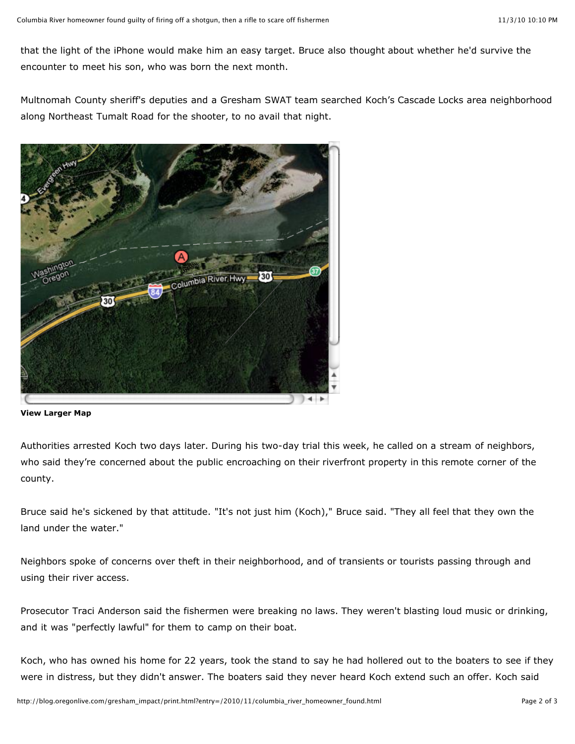that the light of the iPhone would make him an easy target. Bruce also thought about whether he'd survive the encounter to meet his son, who was born the next month.

Multnomah County sheriff's deputies and a Gresham SWAT team searched Koch's Cascade Locks area neighborhood along Northeast Tumalt Road for the shooter, to no avail that night.



**View Larger Map**

Authorities arrested Koch two days later. During his two-day trial this week, he called on a stream of neighbors, who said they're concerned about the public encroaching on their riverfront property in this remote corner of the county.

Bruce said he's sickened by that attitude. "It's not just him (Koch)," Bruce said. "They all feel that they own the land under the water."

Neighbors spoke of concerns over theft in their neighborhood, and of transients or tourists passing through and using their river access.

Prosecutor Traci Anderson said the fishermen were breaking no laws. They weren't blasting loud music or drinking, and it was "perfectly lawful" for them to camp on their boat.

Koch, who has owned his home for 22 years, took the stand to say he had hollered out to the boaters to see if they were in distress, but they didn't answer. The boaters said they never heard Koch extend such an offer. Koch said